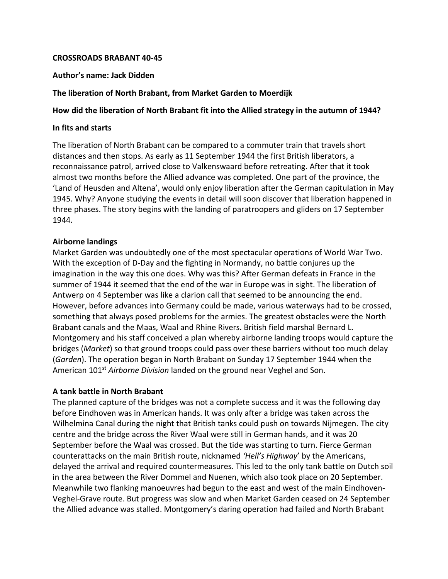### **CROSSROADS BRABANT 40-45**

#### **Author's name: Jack Didden**

### **The liberation of North Brabant, from Market Garden to Moerdijk**

# **How did the liberation of North Brabant fit into the Allied strategy in the autumn of 1944?**

#### **In fits and starts**

The liberation of North Brabant can be compared to a commuter train that travels short distances and then stops. As early as 11 September 1944 the first British liberators, a reconnaissance patrol, arrived close to Valkenswaard before retreating. After that it took almost two months before the Allied advance was completed. One part of the province, the 'Land of Heusden and Altena', would only enjoy liberation after the German capitulation in May 1945. Why? Anyone studying the events in detail will soon discover that liberation happened in three phases. The story begins with the landing of paratroopers and gliders on 17 September 1944.

#### **Airborne landings**

Market Garden was undoubtedly one of the most spectacular operations of World War Two. With the exception of D-Day and the fighting in Normandy, no battle conjures up the imagination in the way this one does. Why was this? After German defeats in France in the summer of 1944 it seemed that the end of the war in Europe was in sight. The liberation of Antwerp on 4 September was like a clarion call that seemed to be announcing the end. However, before advances into Germany could be made, various waterways had to be crossed, something that always posed problems for the armies. The greatest obstacles were the North Brabant canals and the Maas, Waal and Rhine Rivers. British field marshal Bernard L. Montgomery and his staff conceived a plan whereby airborne landing troops would capture the bridges (*Market*) so that ground troops could pass over these barriers without too much delay (*Garden*). The operation began in North Brabant on Sunday 17 September 1944 when the American 101st *Airborne Division* landed on the ground near Veghel and Son.

# **A tank battle in North Brabant**

The planned capture of the bridges was not a complete success and it was the following day before Eindhoven was in American hands. It was only after a bridge was taken across the Wilhelmina Canal during the night that British tanks could push on towards Nijmegen. The city centre and the bridge across the River Waal were still in German hands, and it was 20 September before the Waal was crossed. But the tide was starting to turn. Fierce German counterattacks on the main British route, nicknamed *'Hell's Highway*' by the Americans, delayed the arrival and required countermeasures. This led to the only tank battle on Dutch soil in the area between the River Dommel and Nuenen, which also took place on 20 September. Meanwhile two flanking manoeuvres had begun to the east and west of the main Eindhoven-Veghel-Grave route. But progress was slow and when Market Garden ceased on 24 September the Allied advance was stalled. Montgomery's daring operation had failed and North Brabant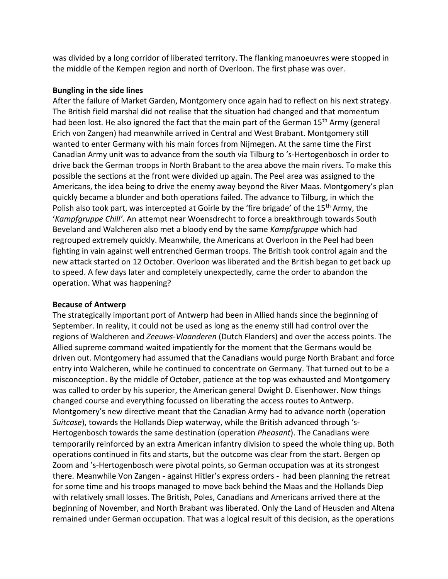was divided by a long corridor of liberated territory. The flanking manoeuvres were stopped in the middle of the Kempen region and north of Overloon. The first phase was over.

# **Bungling in the side lines**

After the failure of Market Garden, Montgomery once again had to reflect on his next strategy. The British field marshal did not realise that the situation had changed and that momentum had been lost. He also ignored the fact that the main part of the German 15<sup>th</sup> Army (general Erich von Zangen) had meanwhile arrived in Central and West Brabant. Montgomery still wanted to enter Germany with his main forces from Nijmegen. At the same time the First Canadian Army unit was to advance from the south via Tilburg to 's-Hertogenbosch in order to drive back the German troops in North Brabant to the area above the main rivers. To make this possible the sections at the front were divided up again. The Peel area was assigned to the Americans, the idea being to drive the enemy away beyond the River Maas. Montgomery's plan quickly became a blunder and both operations failed. The advance to Tilburg, in which the Polish also took part, was intercepted at Goirle by the 'fire brigade' of the 15<sup>th</sup> Army, the '*Kampfgruppe Chill'*. An attempt near Woensdrecht to force a breakthrough towards South Beveland and Walcheren also met a bloody end by the same *Kampfgruppe* which had regrouped extremely quickly. Meanwhile, the Americans at Overloon in the Peel had been fighting in vain against well entrenched German troops. The British took control again and the new attack started on 12 October. Overloon was liberated and the British began to get back up to speed. A few days later and completely unexpectedly, came the order to abandon the operation. What was happening?

# **Because of Antwerp**

The strategically important port of Antwerp had been in Allied hands since the beginning of September. In reality, it could not be used as long as the enemy still had control over the regions of Walcheren and *Zeeuws-Vlaanderen* (Dutch Flanders) and over the access points. The Allied supreme command waited impatiently for the moment that the Germans would be driven out. Montgomery had assumed that the Canadians would purge North Brabant and force entry into Walcheren, while he continued to concentrate on Germany. That turned out to be a misconception. By the middle of October, patience at the top was exhausted and Montgomery was called to order by his superior, the American general Dwight D. Eisenhower. Now things changed course and everything focussed on liberating the access routes to Antwerp. Montgomery's new directive meant that the Canadian Army had to advance north (operation *Suitcase*), towards the Hollands Diep waterway, while the British advanced through 's-Hertogenbosch towards the same destination (operation *Pheasant*). The Canadians were temporarily reinforced by an extra American infantry division to speed the whole thing up. Both operations continued in fits and starts, but the outcome was clear from the start. Bergen op Zoom and 's-Hertogenbosch were pivotal points, so German occupation was at its strongest there. Meanwhile Von Zangen - against Hitler's express orders - had been planning the retreat for some time and his troops managed to move back behind the Maas and the Hollands Diep with relatively small losses. The British, Poles, Canadians and Americans arrived there at the beginning of November, and North Brabant was liberated. Only the Land of Heusden and Altena remained under German occupation. That was a logical result of this decision, as the operations